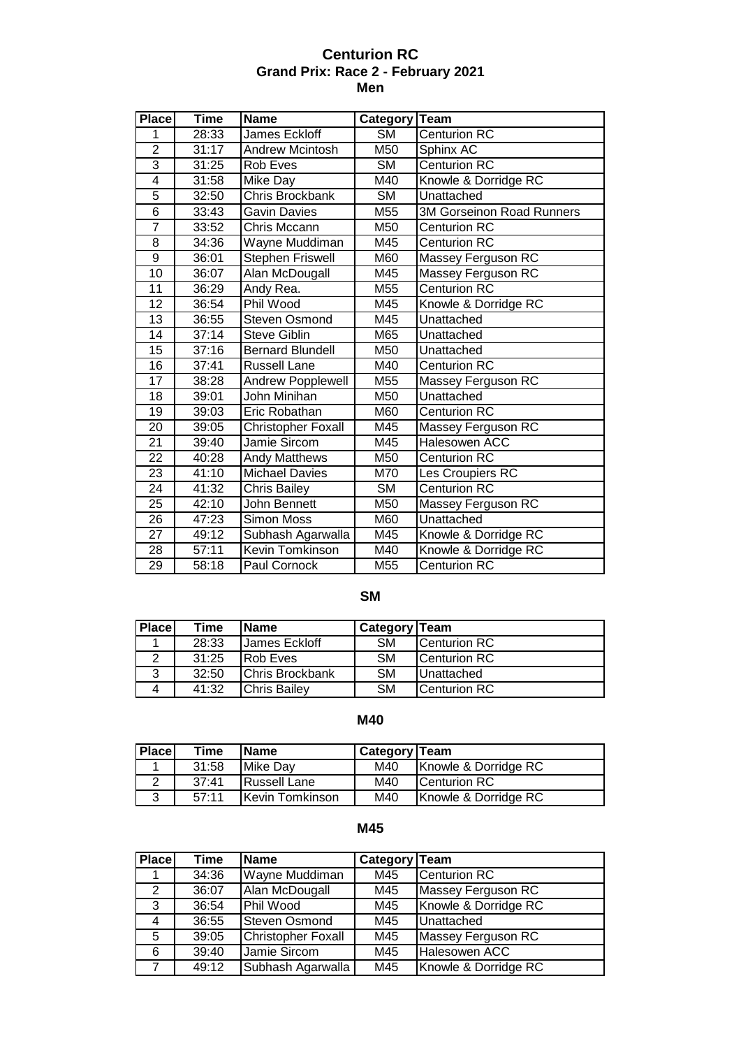## **Centurion RC Grand Prix: Race 2 - February 2021 Men**

| <b>Place</b>    | <b>Time</b> | <b>Name</b>               | Category  | <b>Team</b>               |
|-----------------|-------------|---------------------------|-----------|---------------------------|
| 1               | 28:33       | James Eckloff             | <b>SM</b> | <b>Centurion RC</b>       |
| $\overline{2}$  | 31:17       | <b>Andrew Mcintosh</b>    | M50       | Sphinx AC                 |
| 3               | 31:25       | <b>Rob Eves</b>           | <b>SM</b> | <b>Centurion RC</b>       |
| 4               | 31:58       | Mike Day                  | M40       | Knowle & Dorridge RC      |
| 5               | 32:50       | Chris Brockbank           | SΜ        | Unattached                |
| $\overline{6}$  | 33:43       | <b>Gavin Davies</b>       | M55       | 3M Gorseinon Road Runners |
| 7               | 33:52       | Chris Mccann              | M50       | <b>Centurion RC</b>       |
| 8               | 34:36       | Wayne Muddiman            | M45       | <b>Centurion RC</b>       |
| $\overline{9}$  | 36:01       | <b>Stephen Friswell</b>   | M60       | Massey Ferguson RC        |
| 10              | 36:07       | Alan McDougall            | M45       | Massey Ferguson RC        |
| 11              | 36:29       | Andy Rea.                 | M55       | <b>Centurion RC</b>       |
| 12              | 36:54       | Phil Wood                 | M45       | Knowle & Dorridge RC      |
| $\overline{13}$ | 36:55       | <b>Steven Osmond</b>      | M45       | Unattached                |
| 14              | 37:14       | <b>Steve Giblin</b>       | M65       | Unattached                |
| $\overline{15}$ | 37:16       | <b>Bernard Blundell</b>   | M50       | Unattached                |
| 16              | 37:41       | <b>Russell Lane</b>       | M40       | <b>Centurion RC</b>       |
| $\overline{17}$ | 38:28       | Andrew Popplewell         | M55       | Massey Ferguson RC        |
| 18              | 39:01       | John Minihan              | M50       | Unattached                |
| 19              | 39:03       | Eric Robathan             | M60       | <b>Centurion RC</b>       |
| 20              | 39:05       | <b>Christopher Foxall</b> | M45       | Massey Ferguson RC        |
| $\overline{21}$ | 39:40       | Jamie Sircom              | M45       | <b>Halesowen ACC</b>      |
| 22              | 40:28       | <b>Andy Matthews</b>      | M50       | <b>Centurion RC</b>       |
| 23              | 41:10       | <b>Michael Davies</b>     | M70       | Les Croupiers RC          |
| 24              | 41:32       | <b>Chris Bailey</b>       | <b>SM</b> | <b>Centurion RC</b>       |
| 25              | 42:10       | John Bennett              | M50       | Massey Ferguson RC        |
| 26              | 47:23       | Simon Moss                | M60       | Unattached                |
| 27              | 49:12       | Subhash Agarwalla         | M45       | Knowle & Dorridge RC      |
| 28              | 57:11       | Kevin Tomkinson           | M40       | Knowle & Dorridge RC      |
| 29              | 58:18       | Paul Cornock              | M55       | <b>Centurion RC</b>       |

# **SM**

| <b>Place</b> | Time  | <b>Name</b>            | <b>Category Team</b> |                     |
|--------------|-------|------------------------|----------------------|---------------------|
|              | 28:33 | James Eckloff          | <b>SM</b>            | Centurion RC        |
| 2            | 31:25 | <b>Rob Eves</b>        | <b>SM</b>            | <b>Centurion RC</b> |
| 3            | 32:50 | <b>Chris Brockbank</b> | <b>SM</b>            | <b>Unattached</b>   |
| 4            | 41:32 | <b>I</b> Chris Bailev  | <b>SM</b>            | Centurion RC        |

# **M40**

| Place  | Time  | <b>Name</b>     | Category   Team |                      |
|--------|-------|-----------------|-----------------|----------------------|
|        | 31:58 | Mike Day        | M40             | Knowle & Dorridge RC |
|        | 37:41 | Russell Lane    | M40             | <b>ICenturion RC</b> |
| າ<br>w | 57:11 | Kevin Tomkinson | M40             | Knowle & Dorridge RC |

# **M45**

| <b>Place</b> | Time  | <b>Name</b>               | Category Team |                      |
|--------------|-------|---------------------------|---------------|----------------------|
|              | 34:36 | Wayne Muddiman            | M45           | <b>Centurion RC</b>  |
| 2            | 36:07 | Alan McDougall            | M45           | Massey Ferguson RC   |
| 3            | 36:54 | Phil Wood                 | M45           | Knowle & Dorridge RC |
| 4            | 36:55 | <b>Steven Osmond</b>      | M45           | Unattached           |
| 5            | 39:05 | <b>Christopher Foxall</b> | M45           | Massey Ferguson RC   |
| 6            | 39:40 | Jamie Sircom              | M45           | Halesowen ACC        |
|              | 49:12 | Subhash Agarwalla         | M45           | Knowle & Dorridge RC |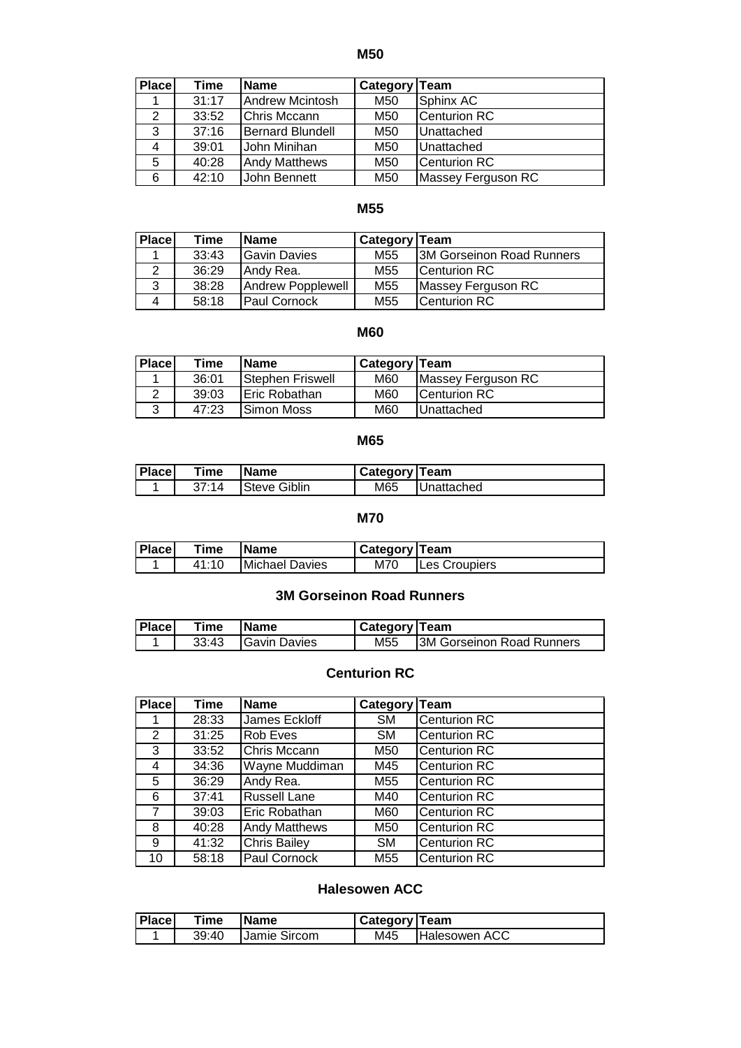**M50**

| <b>Place</b> | Time  | <b>Name</b>          | Category   Team |                     |
|--------------|-------|----------------------|-----------------|---------------------|
|              | 31:17 | Andrew Mcintosh      | M50             | Sphinx AC           |
| 2            | 33:52 | Chris Mccann         | M50             | Centurion RC        |
| 3            | 37:16 | Bernard Blundell     | M50             | Unattached          |
| 4            | 39:01 | John Minihan         | M50             | Unattached          |
| 5            | 40:28 | <b>Andy Matthews</b> | M50             | <b>Centurion RC</b> |
| 6            | 42:10 | John Bennett         | M50             | Massey Ferguson RC  |

### **M55**

| Place | Time  | <b>Name</b>         | Category Team   |                                  |
|-------|-------|---------------------|-----------------|----------------------------------|
|       | 33:43 | <b>Gavin Davies</b> | M <sub>55</sub> | <b>3M Gorseinon Road Runners</b> |
|       | 36:29 | Andy Rea.           | M <sub>55</sub> | Centurion RC                     |
| 3     | 38:28 | Andrew Popplewell   | M <sub>55</sub> | Massey Ferguson RC               |
| 4     | 58:18 | <b>Paul Cornock</b> | M55             | Centurion RC                     |

#### **M60**

| <b>Place</b> | Time  | <b>Name</b>           | <b>Category Team</b> |                      |
|--------------|-------|-----------------------|----------------------|----------------------|
|              | 36:01 | Stephen Friswell      | M60                  | Massey Ferguson RC   |
|              | 39:03 | <b>IEric Robathan</b> | M60                  | <b>ICenturion RC</b> |
| 2            | 47:23 | Simon Moss            | M60                  | <b>Unattached</b>    |

#### **M65**

| <b>Place</b> | Time  | <b>Name</b>  | Category   Team |                    |
|--------------|-------|--------------|-----------------|--------------------|
|              | 37:14 | Steve Giblin | M65             | <b>IUnattached</b> |

#### **M70**

| <b>Place</b> | Time  | lName          | Category   Team |                      |
|--------------|-------|----------------|-----------------|----------------------|
|              | 41:10 | Michael Davies | M70             | <b>Les Croupiers</b> |

## **3M Gorseinon Road Runners**

| <b>Place</b> | Time  | <b>IName</b>          | <b>I Category Team</b> |                            |
|--------------|-------|-----------------------|------------------------|----------------------------|
|              | 33:43 | <b>I</b> Gavin Davies | M55                    | 13M Gorseinon Road Runners |

### **Centurion RC**

| <b>Place</b> | <b>Time</b> | <b>Name</b>          | Category Team |                     |
|--------------|-------------|----------------------|---------------|---------------------|
|              | 28:33       | James Eckloff        | <b>SM</b>     | <b>Centurion RC</b> |
| 2            | 31:25       | Rob Eves             | <b>SM</b>     | <b>Centurion RC</b> |
| 3            | 33:52       | Chris Mccann         | M50           | <b>Centurion RC</b> |
| 4            | 34:36       | Wayne Muddiman       | M45           | <b>Centurion RC</b> |
| 5            | 36:29       | Andy Rea.            | M55           | <b>Centurion RC</b> |
| 6            | 37:41       | <b>Russell Lane</b>  | M40           | <b>Centurion RC</b> |
| 7            | 39:03       | Eric Robathan        | M60           | <b>Centurion RC</b> |
| 8            | 40:28       | <b>Andy Matthews</b> | M50           | <b>Centurion RC</b> |
| 9            | 41:32       | <b>Chris Bailey</b>  | <b>SM</b>     | <b>Centurion RC</b> |
| 10           | 58:18       | Paul Cornock         | M55           | <b>Centurion RC</b> |

#### **Halesowen ACC**

| <b>Place</b> | Time  | <b>Name</b>         | Category   Team |                      |
|--------------|-------|---------------------|-----------------|----------------------|
|              | 39:40 | <b>Jamie Sircom</b> | M45             | <b>Halesowen ACC</b> |